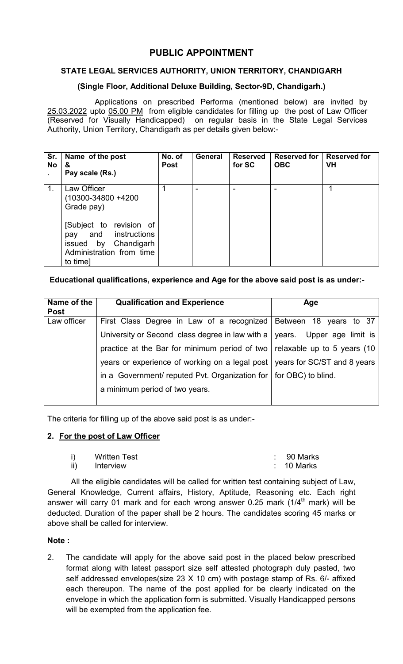# PUBLIC APPOINTMENT

# STATE LEGAL SERVICES AUTHORITY, UNION TERRITORY, CHANDIGARH

### (Single Floor, Additional Deluxe Building, Sector-9D, Chandigarh.)

Applications on prescribed Performa (mentioned below) are invited by 25.03.2022 upto 05.00 PM from eligible candidates for filling up the post of Law Officer (Reserved for Visually Handicapped) on regular basis in the State Legal Services Authority, Union Territory, Chandigarh as per details given below:-

| Sr.<br><b>No</b> | Name of the post<br>&<br>Pay scale (Rs.)                                                                                                                              | No. of<br><b>Post</b> | <b>General</b> | <b>Reserved</b><br>for SC | <b>Reserved for</b><br><b>OBC</b> | <b>Reserved for</b><br><b>VH</b> |
|------------------|-----------------------------------------------------------------------------------------------------------------------------------------------------------------------|-----------------------|----------------|---------------------------|-----------------------------------|----------------------------------|
| 1.               | Law Officer<br>(10300-34800 +4200<br>Grade pay)<br>[Subject to revision of<br>pay and instructions<br>Chandigarh<br>issued by<br>Administration from time<br>to time] |                       |                | -                         |                                   |                                  |

# Educational qualifications, experience and Age for the above said post is as under:-

| Name of the<br><b>Post</b> | <b>Qualification and Experience</b>                                                  | Age |
|----------------------------|--------------------------------------------------------------------------------------|-----|
| Law officer                | First Class Degree in Law of a recognized   Between 18 years to 37                   |     |
|                            | University or Second class degree in law with a $\sqrt{ }$ years. Upper age limit is |     |
|                            | practice at the Bar for minimum period of two   relaxable up to 5 years (10          |     |
|                            | years or experience of working on a legal post   years for SC/ST and 8 years         |     |
|                            | in a Government/ reputed Pvt. Organization for $\vert$ for OBC) to blind.            |     |
|                            | a minimum period of two years.                                                       |     |

The criteria for filling up of the above said post is as under:-

#### 2. For the post of Law Officer

|     | <b>Written Test</b> | $\therefore$ 90 Marks |
|-----|---------------------|-----------------------|
| ii) | Interview           | $\therefore$ 10 Marks |

All the eligible candidates will be called for written test containing subject of Law, General Knowledge, Current affairs, History, Aptitude, Reasoning etc. Each right answer will carry 01 mark and for each wrong answer 0.25 mark  $(1/4<sup>th</sup>$  mark) will be deducted. Duration of the paper shall be 2 hours. The candidates scoring 45 marks or above shall be called for interview.

#### Note :

2. The candidate will apply for the above said post in the placed below prescribed format along with latest passport size self attested photograph duly pasted, two self addressed envelopes(size 23 X 10 cm) with postage stamp of Rs. 6/- affixed each thereupon. The name of the post applied for be clearly indicated on the envelope in which the application form is submitted. Visually Handicapped persons will be exempted from the application fee.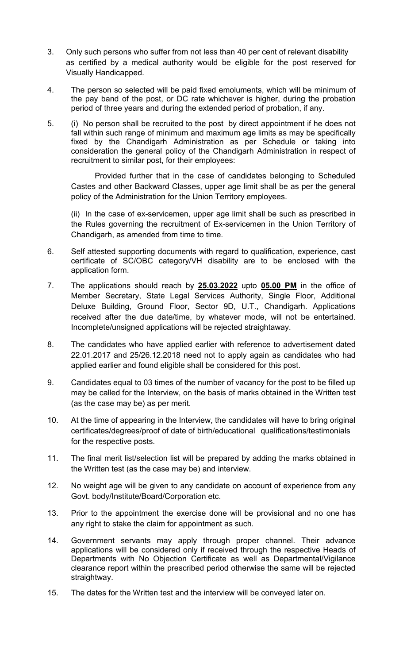- 3. Only such persons who suffer from not less than 40 per cent of relevant disability as certified by a medical authority would be eligible for the post reserved for Visually Handicapped.
- 4. The person so selected will be paid fixed emoluments, which will be minimum of the pay band of the post, or DC rate whichever is higher, during the probation period of three years and during the extended period of probation, if any.
- 5. (i) No person shall be recruited to the post by direct appointment if he does not fall within such range of minimum and maximum age limits as may be specifically fixed by the Chandigarh Administration as per Schedule or taking into consideration the general policy of the Chandigarh Administration in respect of recruitment to similar post, for their employees:

Provided further that in the case of candidates belonging to Scheduled Castes and other Backward Classes, upper age limit shall be as per the general policy of the Administration for the Union Territory employees.

(ii) In the case of ex-servicemen, upper age limit shall be such as prescribed in the Rules governing the recruitment of Ex-servicemen in the Union Territory of Chandigarh, as amended from time to time.

- 6. Self attested supporting documents with regard to qualification, experience, cast certificate of SC/OBC category/VH disability are to be enclosed with the application form.
- 7. The applications should reach by **25.03.2022** upto **05.00 PM** in the office of Member Secretary, State Legal Services Authority, Single Floor, Additional Deluxe Building, Ground Floor, Sector 9D, U.T., Chandigarh. Applications received after the due date/time, by whatever mode, will not be entertained. Incomplete/unsigned applications will be rejected straightaway.
- 8. The candidates who have applied earlier with reference to advertisement dated 22.01.2017 and 25/26.12.2018 need not to apply again as candidates who had applied earlier and found eligible shall be considered for this post.
- 9. Candidates equal to 03 times of the number of vacancy for the post to be filled up may be called for the Interview, on the basis of marks obtained in the Written test (as the case may be) as per merit.
- 10. At the time of appearing in the Interview, the candidates will have to bring original certificates/degrees/proof of date of birth/educational qualifications/testimonials for the respective posts.
- 11. The final merit list/selection list will be prepared by adding the marks obtained in the Written test (as the case may be) and interview.
- 12. No weight age will be given to any candidate on account of experience from any Govt. body/Institute/Board/Corporation etc.
- 13. Prior to the appointment the exercise done will be provisional and no one has any right to stake the claim for appointment as such.
- 14. Government servants may apply through proper channel. Their advance applications will be considered only if received through the respective Heads of Departments with No Objection Certificate as well as Departmental/Vigilance clearance report within the prescribed period otherwise the same will be rejected straightway.
- 15. The dates for the Written test and the interview will be conveyed later on.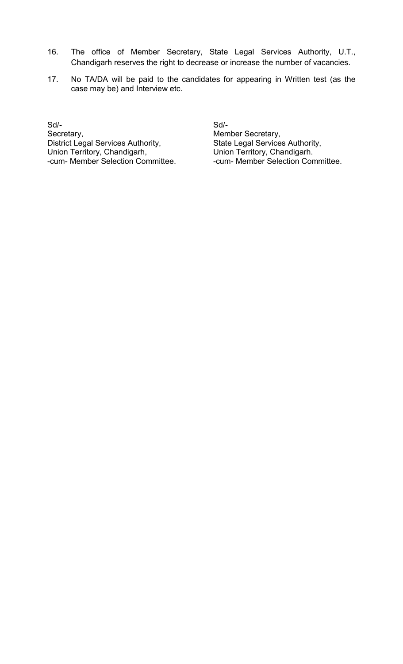- 16. The office of Member Secretary, State Legal Services Authority, U.T., Chandigarh reserves the right to decrease or increase the number of vacancies.
- 17. No TA/DA will be paid to the candidates for appearing in Written test (as the case may be) and Interview etc.

Sd/- Sd/- Secretary,<br>
District Legal Services Authority,<br>
District Legal Services Authority,<br>
State Legal Services Authority, District Legal Services Authority, Union Territory, Chandigarh, **Union Territory, Chandigarh.**<br>
-cum- Member Selection Committee. **Carry Committee.** The Member Selection Con

-cum- Member Selection Committee.